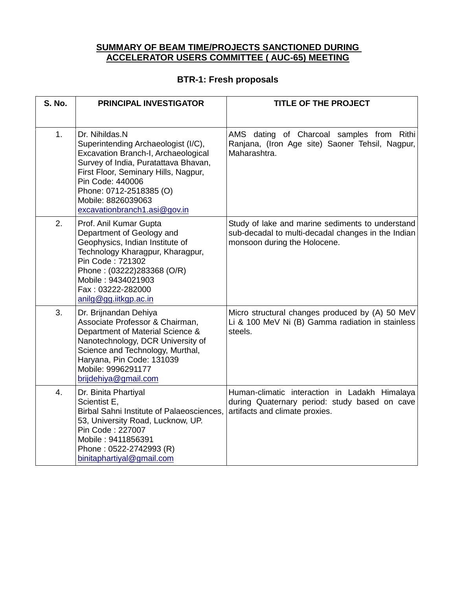#### **SUMMARY OF BEAM TIME/PROJECTS SANCTIONED DURING ACCELERATOR USERS COMMITTEE ( AUC-65) MEETING**

#### **BTR-1: Fresh proposals**

| <b>S. No.</b>  | <b>PRINCIPAL INVESTIGATOR</b>                                                                                                                                                                                                                                                     | <b>TITLE OF THE PROJECT</b>                                                                                                            |
|----------------|-----------------------------------------------------------------------------------------------------------------------------------------------------------------------------------------------------------------------------------------------------------------------------------|----------------------------------------------------------------------------------------------------------------------------------------|
| 1 <sub>1</sub> | Dr. Nihildas.N<br>Superintending Archaeologist (I/C),<br>Excavation Branch-I, Archaeological<br>Survey of India, Puratattava Bhavan,<br>First Floor, Seminary Hills, Nagpur,<br>Pin Code: 440006<br>Phone: 0712-2518385 (O)<br>Mobile: 8826039063<br>excavationbranch1.asi@gov.in | AMS dating of Charcoal samples from Rithi<br>Ranjana, (Iron Age site) Saoner Tehsil, Nagpur,<br>Maharashtra.                           |
| 2.             | Prof. Anil Kumar Gupta<br>Department of Geology and<br>Geophysics, Indian Institute of<br>Technology Kharagpur, Kharagpur,<br>Pin Code: 721302<br>Phone: (03222)283368 (O/R)<br>Mobile: 9434021903<br>Fax: 03222-282000<br>anilg@gg.iitkgp.ac.in                                  | Study of lake and marine sediments to understand<br>sub-decadal to multi-decadal changes in the Indian<br>monsoon during the Holocene. |
| 3.             | Dr. Brijnandan Dehiya<br>Associate Professor & Chairman,<br>Department of Material Science &<br>Nanotechnology, DCR University of<br>Science and Technology, Murthal,<br>Haryana, Pin Code: 131039<br>Mobile: 9996291177<br>brijdehiya@gmail.com                                  | Micro structural changes produced by (A) 50 MeV<br>Li & 100 MeV Ni (B) Gamma radiation in stainless<br>steels.                         |
| 4.             | Dr. Binita Phartiyal<br>Scientist E,<br>Birbal Sahni Institute of Palaeosciences,<br>53, University Road, Lucknow, UP.<br>Pin Code: 227007<br>Mobile: 9411856391<br>Phone: 0522-2742993 (R)<br>binitaphartiyal@gmail.com                                                          | Human-climatic interaction in Ladakh Himalaya<br>during Quaternary period: study based on cave<br>artifacts and climate proxies.       |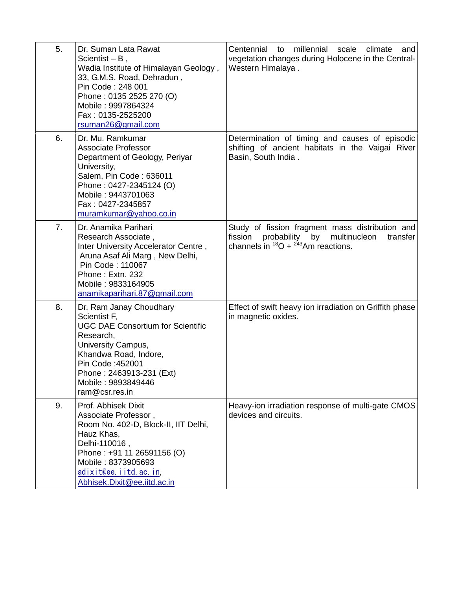| 5.             | Dr. Suman Lata Rawat<br>Scientist $- B$ ,<br>Wadia Institute of Himalayan Geology,<br>33, G.M.S. Road, Dehradun,<br>Pin Code: 248 001<br>Phone: 0135 2525 270 (O)<br>Mobile: 9997864324<br>Fax: 0135-2525200<br>rsuman26@gmail.com      | Centennial to millennial scale<br>climate<br>and<br>vegetation changes during Holocene in the Central-<br>Western Himalaya.                                |
|----------------|-----------------------------------------------------------------------------------------------------------------------------------------------------------------------------------------------------------------------------------------|------------------------------------------------------------------------------------------------------------------------------------------------------------|
| 6.             | Dr. Mu. Ramkumar<br><b>Associate Professor</b><br>Department of Geology, Periyar<br>University,<br>Salem, Pin Code: 636011<br>Phone: 0427-2345124 (O)<br>Mobile: 9443701063<br>Fax: 0427-2345857<br>muramkumar@yahoo.co.in              | Determination of timing and causes of episodic<br>shifting of ancient habitats in the Vaigai River<br>Basin, South India.                                  |
| 7 <sub>1</sub> | Dr. Anamika Parihari<br>Research Associate,<br>Inter University Accelerator Centre,<br>Aruna Asaf Ali Marg, New Delhi,<br>Pin Code: 110067<br>Phone: Extn. 232<br>Mobile: 9833164905<br>anamikaparihari.87@gmail.com                    | Study of fission fragment mass distribution and<br>fission<br>probability by multinucleon<br>transfer<br>channels in $^{18}O + \frac{243}{1}Am$ reactions. |
| 8.             | Dr. Ram Janay Choudhary<br>Scientist F,<br><b>UGC DAE Consortium for Scientific</b><br>Research,<br>University Campus,<br>Khandwa Road, Indore,<br>Pin Code: 452001<br>Phone: 2463913-231 (Ext)<br>Mobile: 9893849446<br>ram@csr.res.in | Effect of swift heavy ion irradiation on Griffith phase<br>in magnetic oxides.                                                                             |
| 9.             | Prof. Abhisek Dixit<br>Associate Professor,<br>Room No. 402-D, Block-II, IIT Delhi,<br>Hauz Khas,<br>Delhi-110016,<br>Phone: +91 11 26591156 (O)<br>Mobile: 8373905693<br>adixit@ee.iitd.ac.in,<br>Abhisek.Dixit@ee.iitd.ac.in          | Heavy-ion irradiation response of multi-gate CMOS<br>devices and circuits.                                                                                 |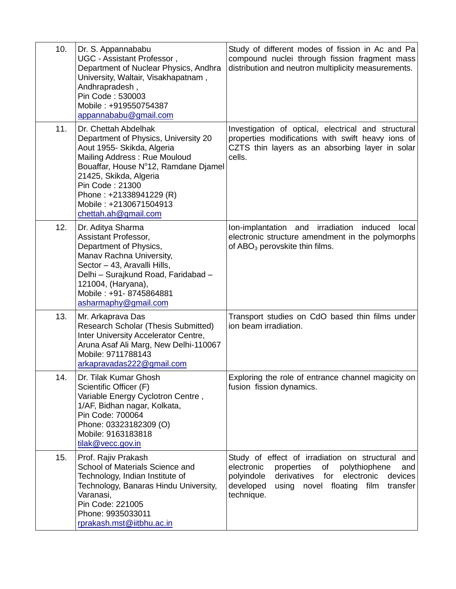| 10. | Dr. S. Appannababu<br>UGC - Assistant Professor,<br>Department of Nuclear Physics, Andhra<br>University, Waltair, Visakhapatnam,<br>Andhrapradesh,<br>Pin Code: 530003<br>Mobile: +919550754387<br>appannababu@gmail.com                                                                     | Study of different modes of fission in Ac and Pa<br>compound nuclei through fission fragment mass<br>distribution and neutron multiplicity measurements.                                                                                    |
|-----|----------------------------------------------------------------------------------------------------------------------------------------------------------------------------------------------------------------------------------------------------------------------------------------------|---------------------------------------------------------------------------------------------------------------------------------------------------------------------------------------------------------------------------------------------|
| 11. | Dr. Chettah Abdelhak<br>Department of Physics, University 20<br>Aout 1955- Skikda, Algeria<br>Mailing Address: Rue Mouloud<br>Bouaffar, House Nº12, Ramdane Djamel<br>21425, Skikda, Algeria<br>Pin Code: 21300<br>Phone: +21338941229 (R)<br>Mobile: +2130671504913<br>chettah.ah@gmail.com | Investigation of optical, electrical and structural<br>properties modifications with swift heavy ions of<br>CZTS thin layers as an absorbing layer in solar<br>cells.                                                                       |
| 12. | Dr. Aditya Sharma<br>Assistant Professor,<br>Department of Physics,<br>Manav Rachna University,<br>Sector - 43, Aravalli Hills,<br>Delhi - Surajkund Road, Faridabad -<br>121004, (Haryana),<br>Mobile: +91-8745864881<br>asharmaphy@gmail.com                                               | Ion-implantation and irradiation<br>induced<br>local<br>electronic structure amendment in the polymorphs<br>of ABO <sub>3</sub> perovskite thin films.                                                                                      |
| 13. | Mr. Arkaprava Das<br><b>Research Scholar (Thesis Submitted)</b><br>Inter University Accelerator Centre,<br>Aruna Asaf Ali Marg, New Delhi-110067<br>Mobile: 9711788143<br>arkapravadas222@gmail.com                                                                                          | Transport studies on CdO based thin films under<br>ion beam irradiation.                                                                                                                                                                    |
| 14. | Dr. Tilak Kumar Ghosh<br>Scientific Officer (F)<br>Variable Energy Cyclotron Centre,<br>1/AF, Bidhan nagar, Kolkata,<br>Pin Code: 700064<br>Phone: 03323182309 (O)<br>Mobile: 9163183818<br>tilak@vecc.gov.in                                                                                | Exploring the role of entrance channel magicity on<br>fusion fission dynamics.                                                                                                                                                              |
| 15. | Prof. Rajiv Prakash<br>School of Materials Science and<br>Technology, Indian Institute of<br>Technology, Banaras Hindu University,<br>Varanasi,<br>Pin Code: 221005<br>Phone: 9935033011<br>rprakash.mst@iitbhu.ac.in                                                                        | Study of effect of irradiation on structural and<br>electronic<br>properties<br>of<br>polythiophene<br>and<br>derivatives<br>for<br>electronic<br>devices<br>polyindole<br>developed<br>using novel floating film<br>transfer<br>technique. |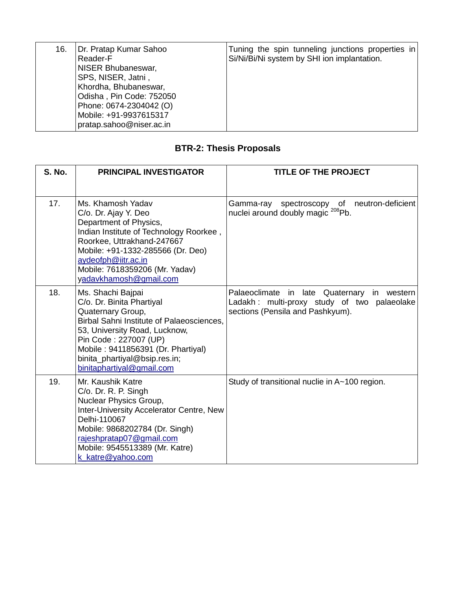| 16. | Dr. Pratap Kumar Sahoo<br>Reader-F<br>NISER Bhubaneswar,<br>SPS, NISER, Jatni,<br>Khordha, Bhubaneswar,<br>Odisha, Pin Code: 752050<br>Phone: 0674-2304042 (O)<br>Mobile: +91-9937615317<br>pratap.sahoo@niser.ac.in | Tuning the spin tunneling junctions properties in<br>Si/Ni/Bi/Ni system by SHI ion implantation. |
|-----|----------------------------------------------------------------------------------------------------------------------------------------------------------------------------------------------------------------------|--------------------------------------------------------------------------------------------------|
|-----|----------------------------------------------------------------------------------------------------------------------------------------------------------------------------------------------------------------------|--------------------------------------------------------------------------------------------------|

## **BTR-2: Thesis Proposals**

| <b>S. No.</b> | <b>PRINCIPAL INVESTIGATOR</b>                                                                                                                                                                                                                                                  | <b>TITLE OF THE PROJECT</b>                                                                                                           |
|---------------|--------------------------------------------------------------------------------------------------------------------------------------------------------------------------------------------------------------------------------------------------------------------------------|---------------------------------------------------------------------------------------------------------------------------------------|
| 17.           | Ms. Khamosh Yadav<br>C/o. Dr. Ajay Y. Deo<br>Department of Physics,<br>Indian Institute of Technology Roorkee,<br>Roorkee, Uttrakhand-247667<br>Mobile: +91-1332-285566 (Dr. Deo)<br>aydeofph@iitr.ac.in<br>Mobile: 7618359206 (Mr. Yadav)<br>yadavkhamosh@gmail.com           | spectroscopy of<br>neutron-deficient<br>Gamma-ray<br>nuclei around doubly magic <sup>208</sup> Pb.                                    |
| 18.           | Ms. Shachi Bajpai<br>C/o. Dr. Binita Phartiyal<br>Quaternary Group,<br>Birbal Sahni Institute of Palaeosciences,<br>53, University Road, Lucknow,<br>Pin Code: 227007 (UP)<br>Mobile: 9411856391 (Dr. Phartiyal)<br>binita_phartiyal@bsip.res.in;<br>binitaphartiyal@gmail.com | Palaeoclimate in late Quaternary<br>western<br>in.<br>Ladakh: multi-proxy study of two palaeolake<br>sections (Pensila and Pashkyum). |
| 19.           | Mr. Kaushik Katre<br>C/o. Dr. R. P. Singh<br>Nuclear Physics Group,<br>Inter-University Accelerator Centre, New<br>Delhi-110067<br>Mobile: 9868202784 (Dr. Singh)<br>rajeshpratap07@gmail.com<br>Mobile: 9545513389 (Mr. Katre)<br>k_katre@yahoo.com                           | Study of transitional nuclie in A~100 region.                                                                                         |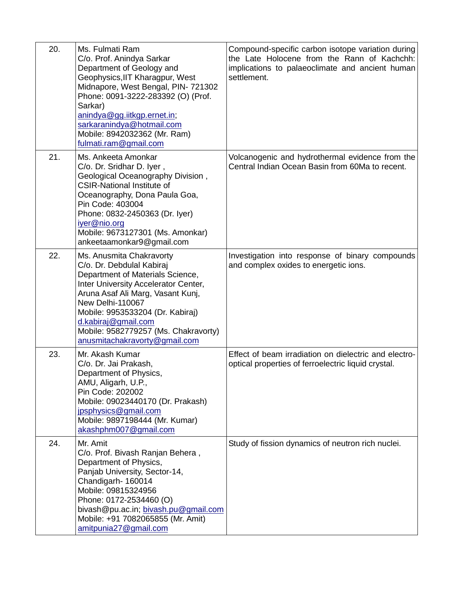| 20. | Ms. Fulmati Ram<br>C/o. Prof. Anindya Sarkar                                                                                                                                                                                                                                                                                   | Compound-specific carbon isotope variation during<br>the Late Holocene from the Rann of Kachchh:             |
|-----|--------------------------------------------------------------------------------------------------------------------------------------------------------------------------------------------------------------------------------------------------------------------------------------------------------------------------------|--------------------------------------------------------------------------------------------------------------|
|     | Department of Geology and<br>Geophysics, IIT Kharagpur, West<br>Midnapore, West Bengal, PIN-721302<br>Phone: 0091-3222-283392 (O) (Prof.<br>Sarkar)<br>anindya@gg.iitkgp.ernet.in;<br>sarkaranindya@hotmail.com<br>Mobile: 8942032362 (Mr. Ram)                                                                                | implications to palaeoclimate and ancient human<br>settlement.                                               |
| 21. | fulmati.ram@gmail.com<br>Ms. Ankeeta Amonkar                                                                                                                                                                                                                                                                                   | Volcanogenic and hydrothermal evidence from the                                                              |
|     | C/o. Dr. Sridhar D. Iyer,<br>Geological Oceanography Division,<br><b>CSIR-National Institute of</b><br>Oceanography, Dona Paula Goa,<br>Pin Code: 403004<br>Phone: 0832-2450363 (Dr. Iyer)<br>iyer@nio.org<br>Mobile: 9673127301 (Ms. Amonkar)<br>ankeetaamonkar9@gmail.com                                                    | Central Indian Ocean Basin from 60Ma to recent.                                                              |
| 22. | Ms. Anusmita Chakravorty<br>C/o. Dr. Debdulal Kabiraj<br>Department of Materials Science,<br>Inter University Accelerator Center,<br>Aruna Asaf Ali Marg, Vasant Kunj,<br>New Delhi-110067<br>Mobile: 9953533204 (Dr. Kabiraj)<br>d.kabiraj@gmail.com<br>Mobile: 9582779257 (Ms. Chakravorty)<br>anusmitachakravorty@gmail.com | Investigation into response of binary compounds<br>and complex oxides to energetic ions.                     |
| 23. | Mr. Akash Kumar<br>C/o. Dr. Jai Prakash,<br>Department of Physics,<br>AMU, Aligarh, U.P.,<br>Pin Code: 202002<br>Mobile: 09023440170 (Dr. Prakash)<br>jpsphysics@gmail.com<br>Mobile: 9897198444 (Mr. Kumar)<br>akashphm007@gmail.com                                                                                          | Effect of beam irradiation on dielectric and electro-<br>optical properties of ferroelectric liquid crystal. |
| 24. | Mr. Amit<br>C/o. Prof. Bivash Ranjan Behera,<br>Department of Physics,<br>Panjab University, Sector-14,<br>Chandigarh-160014<br>Mobile: 09815324956<br>Phone: 0172-2534460 (O)<br>bivash@pu.ac.in; bivash.pu@gmail.com<br>Mobile: +91 7082065855 (Mr. Amit)<br>amitpunia27@gmail.com                                           | Study of fission dynamics of neutron rich nuclei.                                                            |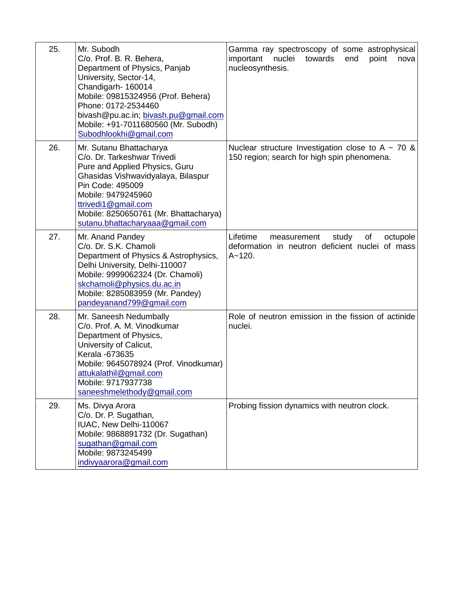| 25. | Mr. Subodh<br>C/o. Prof. B. R. Behera,<br>Department of Physics, Panjab<br>University, Sector-14,<br>Chandigarh-160014<br>Mobile: 09815324956 (Prof. Behera)<br>Phone: 0172-2534460<br>bivash@pu.ac.in; bivash.pu@gmail.com<br>Mobile: +91-7011680560 (Mr. Subodh)<br>Subodhlookhi@gmail.com | Gamma ray spectroscopy of some astrophysical<br>important<br>nuclei<br>towards<br>end<br>point<br>nova<br>nucleosynthesis. |
|-----|----------------------------------------------------------------------------------------------------------------------------------------------------------------------------------------------------------------------------------------------------------------------------------------------|----------------------------------------------------------------------------------------------------------------------------|
| 26. | Mr. Sutanu Bhattacharya<br>C/o. Dr. Tarkeshwar Trivedi<br>Pure and Applied Physics, Guru<br>Ghasidas Vishwavidyalaya, Bilaspur<br>Pin Code: 495009<br>Mobile: 9479245960<br>ttrivedi1@gmail.com<br>Mobile: 8250650761 (Mr. Bhattacharya)<br>sutanu.bhattacharyaaa@gmail.com                  | Nuclear structure Investigation close to A $\sim$ 70 &<br>150 region; search for high spin phenomena.                      |
| 27. | Mr. Anand Pandey<br>C/o. Dr. S.K. Chamoli<br>Department of Physics & Astrophysics,<br>Delhi University, Delhi-110007<br>Mobile: 9999062324 (Dr. Chamoli)<br>skchamoli@physics.du.ac.in<br>Mobile: 8285083959 (Mr. Pandey)<br>pandeyanand799@gmail.com                                        | Lifetime<br>study<br>of<br>octupole<br>measurement<br>deformation in neutron deficient nuclei of mass<br>$A - 120.$        |
| 28. | Mr. Saneesh Nedumbally<br>C/o. Prof. A. M. Vinodkumar<br>Department of Physics,<br>University of Calicut,<br>Kerala -673635<br>Mobile: 9645078924 (Prof. Vinodkumar)<br>attukalathil@gmail.com<br>Mobile: 9717937738<br>saneeshmelethody@gmail.com                                           | Role of neutron emission in the fission of actinide<br>nuclei.                                                             |
| 29. | Ms. Divya Arora<br>C/o. Dr. P. Sugathan,<br>IUAC, New Delhi-110067<br>Mobile: 9868891732 (Dr. Sugathan)<br>sugathan@gmail.com<br>Mobile: 9873245499<br>indivyaarora@gmail.com                                                                                                                | Probing fission dynamics with neutron clock.                                                                               |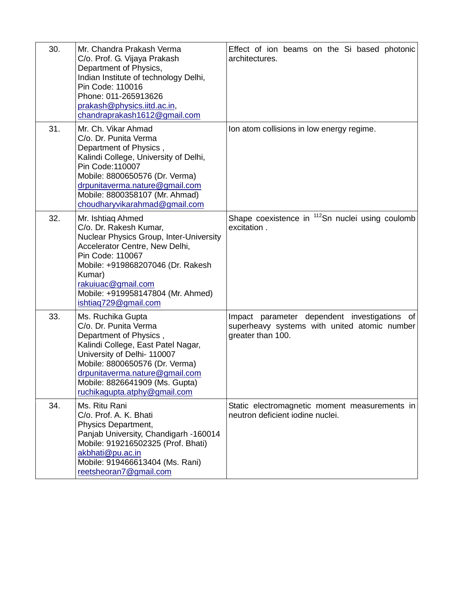| 30. | Mr. Chandra Prakash Verma                                                                                                                                                                                                                                                             | Effect of ion beams on the Si based photonic                                                                      |
|-----|---------------------------------------------------------------------------------------------------------------------------------------------------------------------------------------------------------------------------------------------------------------------------------------|-------------------------------------------------------------------------------------------------------------------|
|     | C/o. Prof. G. Vijaya Prakash<br>Department of Physics,<br>Indian Institute of technology Delhi,<br>Pin Code: 110016<br>Phone: 011-265913626<br>prakash@physics.iitd.ac.in,<br>chandraprakash1612@gmail.com                                                                            | architectures.                                                                                                    |
| 31. | Mr. Ch. Vikar Ahmad<br>C/o. Dr. Punita Verma<br>Department of Physics,<br>Kalindi College, University of Delhi,<br>Pin Code: 110007<br>Mobile: 8800650576 (Dr. Verma)<br>drpunitaverma.nature@gmail.com<br>Mobile: 8800358107 (Mr. Ahmad)<br>choudharyvikarahmad@gmail.com            | Ion atom collisions in low energy regime.                                                                         |
| 32. | Mr. Ishtiaq Ahmed<br>C/o. Dr. Rakesh Kumar,<br><b>Nuclear Physics Group, Inter-University</b><br>Accelerator Centre, New Delhi,<br>Pin Code: 110067<br>Mobile: +919868207046 (Dr. Rakesh<br>Kumar)<br>rakuiuac@gmail.com<br>Mobile: +919958147804 (Mr. Ahmed)<br>ishtiaq729@gmail.com | Shape coexistence in <sup>112</sup> Sn nuclei using coulomb<br>excitation.                                        |
| 33. | Ms. Ruchika Gupta<br>C/o. Dr. Punita Verma<br>Department of Physics,<br>Kalindi College, East Patel Nagar,<br>University of Delhi- 110007<br>Mobile: 8800650576 (Dr. Verma)<br>drpunitaverma.nature@gmail.com<br>Mobile: 8826641909 (Ms. Gupta)<br>ruchikagupta.atphy@gmail.com       | Impact parameter dependent investigations of<br>superheavy systems with united atomic number<br>greater than 100. |
| 34. | Ms. Ritu Rani<br>C/o. Prof. A. K. Bhati<br>Physics Department,<br>Panjab University, Chandigarh -160014<br>Mobile: 919216502325 (Prof. Bhati)<br>akbhati@pu.ac.in<br>Mobile: 919466613404 (Ms. Rani)<br>reetsheoran7@gmail.com                                                        | Static electromagnetic moment measurements in<br>neutron deficient iodine nuclei.                                 |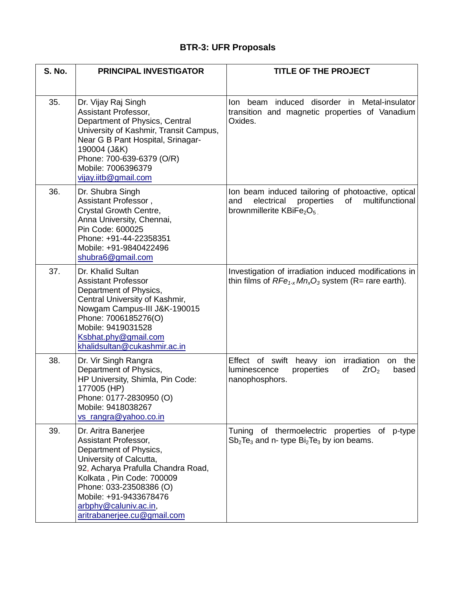## **BTR-3: UFR Proposals**

| <b>S. No.</b> | <b>PRINCIPAL INVESTIGATOR</b>                                                                                                                                                                                                                                                    | <b>TITLE OF THE PROJECT</b>                                                                                                              |
|---------------|----------------------------------------------------------------------------------------------------------------------------------------------------------------------------------------------------------------------------------------------------------------------------------|------------------------------------------------------------------------------------------------------------------------------------------|
| 35.           | Dr. Vijay Raj Singh<br>Assistant Professor,<br>Department of Physics, Central<br>University of Kashmir, Transit Campus,<br>Near G B Pant Hospital, Srinagar-<br>190004 (J&K)<br>Phone: 700-639-6379 (O/R)<br>Mobile: 7006396379<br>vijay.iitb@gmail.com                          | Ion beam induced disorder in Metal-insulator<br>transition and magnetic properties of Vanadium<br>Oxides.                                |
| 36.           | Dr. Shubra Singh<br>Assistant Professor,<br>Crystal Growth Centre,<br>Anna University, Chennai,<br>Pin Code: 600025<br>Phone: +91-44-22358351<br>Mobile: +91-9840422496<br>shubra6@gmail.com                                                                                     | lon beam induced tailoring of photoactive, optical<br>multifunctional<br>electrical properties<br>and<br>of<br>brownmillerite $KBiFe2O5$ |
| 37.           | Dr. Khalid Sultan<br><b>Assistant Professor</b><br>Department of Physics,<br>Central University of Kashmir,<br>Nowgam Campus-III J&K-190015<br>Phone: 7006185276(O)<br>Mobile: 9419031528<br>Ksbhat.phy@gmail.com<br>khalidsultan@cukashmir.ac.in                                | Investigation of irradiation induced modifications in<br>thin films of $RFe_{1-x}Mn_xO_3$ system (R= rare earth).                        |
| 38.           | Dr. Vir Singh Rangra<br>Department of Physics,<br>HP University, Shimla, Pin Code:<br>177005 (HP)<br>Phone: 0177-2830950 (O)<br>Mobile: 9418038267<br>vs_rangra@yahoo.co.in                                                                                                      | Effect of swift<br>heavy ion irradiation<br>the<br>on<br>luminescence<br>properties<br>of<br>ZrO <sub>2</sub><br>based<br>nanophosphors. |
| 39.           | Dr. Aritra Banerjee<br>Assistant Professor,<br>Department of Physics,<br>University of Calcutta,<br>92, Acharya Prafulla Chandra Road,<br>Kolkata, Pin Code: 700009<br>Phone: 033-23508386 (O)<br>Mobile: +91-9433678476<br>arbphy@caluniv.ac.in,<br>aritrabanerjee.cu@gmail.com | Tuning of thermoelectric properties of p-type<br>$Sb2Te3$ and n- type $Bi2Te3$ by ion beams.                                             |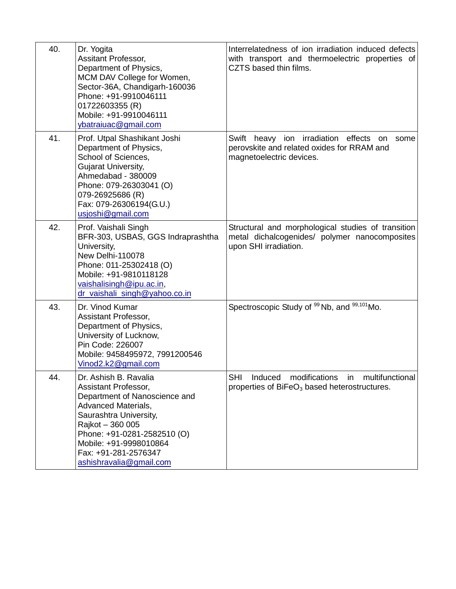| 40. | Dr. Yogita<br><b>Assitant Professor,</b><br>Department of Physics,<br>MCM DAV College for Women,<br>Sector-36A, Chandigarh-160036<br>Phone: +91-9910046111<br>01722603355 (R)<br>Mobile: +91-9910046111<br>ybatraiuac@gmail.com                                        | Interrelatedness of ion irradiation induced defects<br>with transport and thermoelectric properties of<br>CZTS based thin films. |
|-----|------------------------------------------------------------------------------------------------------------------------------------------------------------------------------------------------------------------------------------------------------------------------|----------------------------------------------------------------------------------------------------------------------------------|
| 41. | Prof. Utpal Shashikant Joshi<br>Department of Physics,<br>School of Sciences,<br>Gujarat University,<br>Ahmedabad - 380009<br>Phone: 079-26303041 (O)<br>079-26925686 (R)<br>Fax: 079-26306194(G.U.)<br>usjoshi@gmail.com                                              | Swift heavy ion irradiation effects on<br>some<br>perovskite and related oxides for RRAM and<br>magnetoelectric devices.         |
| 42. | Prof. Vaishali Singh<br>BFR-303, USBAS, GGS Indraprashtha<br>University,<br>New Delhi-110078<br>Phone: 011-25302418 (O)<br>Mobile: +91-9810118128<br>vaishalisingh@ipu.ac.in,<br>dr vaishali singh@yahoo.co.in                                                         | Structural and morphological studies of transition<br>metal dichalcogenides/ polymer nanocomposites<br>upon SHI irradiation.     |
| 43. | Dr. Vinod Kumar<br>Assistant Professor,<br>Department of Physics,<br>University of Lucknow,<br>Pin Code: 226007<br>Mobile: 9458495972, 7991200546<br>Vinod2.k2@gmail.com                                                                                               | Spectroscopic Study of <sup>99</sup> Nb, and <sup>99,101</sup> Mo.                                                               |
| 44. | Dr. Ashish B. Ravalia<br>Assistant Professor,<br>Department of Nanoscience and<br><b>Advanced Materials,</b><br>Saurashtra University,<br>Rajkot - 360 005<br>Phone: +91-0281-2582510 (O)<br>Mobile: +91-9998010864<br>Fax: +91-281-2576347<br>ashishravalia@gmail.com | modifications in multifunctional<br>SHI Induced<br>properties of BiFeO <sub>3</sub> based heterostructures.                      |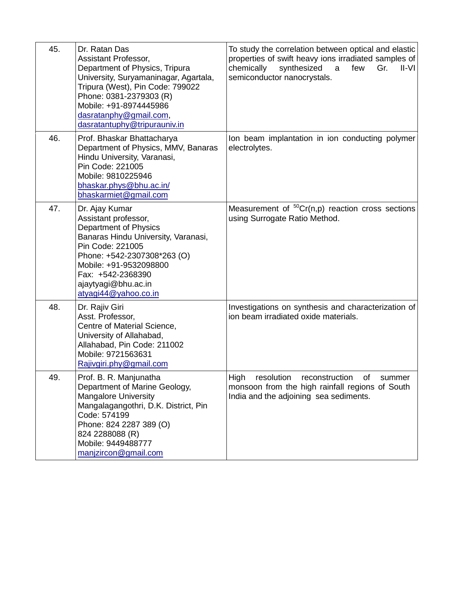| 45. | Dr. Ratan Das<br>Assistant Professor,<br>Department of Physics, Tripura<br>University, Suryamaninagar, Agartala,<br>Tripura (West), Pin Code: 799022<br>Phone: 0381-2379303 (R)<br>Mobile: +91-8974445986<br>dasratanphy@gmail.com,<br>dasratantuphy@tripurauniv.in | To study the correlation between optical and elastic<br>properties of swift heavy ions irradiated samples of<br>chemically<br>synthesized<br>$II-VI$<br>a<br>few<br>Gr.<br>semiconductor nanocrystals. |
|-----|---------------------------------------------------------------------------------------------------------------------------------------------------------------------------------------------------------------------------------------------------------------------|--------------------------------------------------------------------------------------------------------------------------------------------------------------------------------------------------------|
| 46. | Prof. Bhaskar Bhattacharya<br>Department of Physics, MMV, Banaras<br>Hindu University, Varanasi,<br>Pin Code: 221005<br>Mobile: 9810225946<br>bhaskar.phys@bhu.ac.in/<br>bhaskarmiet@gmail.com                                                                      | Ion beam implantation in ion conducting polymer<br>electrolytes.                                                                                                                                       |
| 47. | Dr. Ajay Kumar<br>Assistant professor,<br>Department of Physics<br>Banaras Hindu University, Varanasi,<br>Pin Code: 221005<br>Phone: +542-2307308*263 (O)<br>Mobile: +91-9532098800<br>Fax: +542-2368390<br>ajaytyagi@bhu.ac.in<br>atyagi44@yahoo.co.in             | Measurement of ${}^{50}Cr(n,p)$ reaction cross sections<br>using Surrogate Ratio Method.                                                                                                               |
| 48. | Dr. Rajiv Giri<br>Asst. Professor,<br>Centre of Material Science,<br>University of Allahabad,<br>Allahabad, Pin Code: 211002<br>Mobile: 9721563631<br>Rajivgiri.phy@gmail.com                                                                                       | Investigations on synthesis and characterization of<br>ion beam irradiated oxide materials.                                                                                                            |
| 49. | Prof. B. R. Manjunatha<br>Department of Marine Geology,<br><b>Mangalore University</b><br>Mangalagangothri, D.K. District, Pin<br>Code: 574199<br>Phone: 824 2287 389 (O)<br>824 2288088 (R)<br>Mobile: 9449488777<br>manjzircon@gmail.com                          | High<br>resolution<br>reconstruction<br>of<br>summer<br>monsoon from the high rainfall regions of South<br>India and the adjoining sea sediments.                                                      |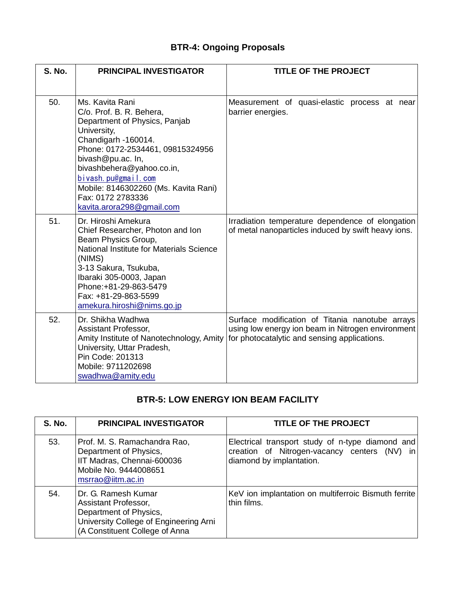# **BTR-4: Ongoing Proposals**

| <b>S. No.</b> | <b>PRINCIPAL INVESTIGATOR</b>                                                                                                                                                                                                                                                                                             | <b>TITLE OF THE PROJECT</b>                                                                                                                          |
|---------------|---------------------------------------------------------------------------------------------------------------------------------------------------------------------------------------------------------------------------------------------------------------------------------------------------------------------------|------------------------------------------------------------------------------------------------------------------------------------------------------|
| 50.           | Ms. Kavita Rani<br>C/o. Prof. B. R. Behera,<br>Department of Physics, Panjab<br>University,<br>Chandigarh -160014.<br>Phone: 0172-2534461, 09815324956<br>bivash@pu.ac. In,<br>bivashbehera@yahoo.co.in,<br>bivash.pu@gmail.com<br>Mobile: 8146302260 (Ms. Kavita Rani)<br>Fax: 0172 2783336<br>kavita.arora298@gmail.com | Measurement of quasi-elastic process at near<br>barrier energies.                                                                                    |
| 51.           | Dr. Hiroshi Amekura<br>Chief Researcher, Photon and Ion<br>Beam Physics Group,<br>National Institute for Materials Science<br>(NIMS)<br>3-13 Sakura, Tsukuba,<br>Ibaraki 305-0003, Japan<br>Phone: +81-29-863-5479<br>Fax: +81-29-863-5599<br>amekura.hiroshi@nims.go.jp                                                  | Irradiation temperature dependence of elongation<br>of metal nanoparticles induced by swift heavy ions.                                              |
| 52.           | Dr. Shikha Wadhwa<br>Assistant Professor,<br>Amity Institute of Nanotechnology, Amity<br>University, Uttar Pradesh,<br>Pin Code: 201313<br>Mobile: 9711202698<br>swadhwa@amity.edu                                                                                                                                        | Surface modification of Titania nanotube arrays<br>using low energy ion beam in Nitrogen environment<br>for photocatalytic and sensing applications. |

### **BTR-5: LOW ENERGY ION BEAM FACILITY**

| <b>S. No.</b> | <b>PRINCIPAL INVESTIGATOR</b>                                                                                                                     | <b>TITLE OF THE PROJECT</b>                                                                                                  |
|---------------|---------------------------------------------------------------------------------------------------------------------------------------------------|------------------------------------------------------------------------------------------------------------------------------|
| 53.           | Prof. M. S. Ramachandra Rao,<br>Department of Physics,<br>IIT Madras, Chennai-600036<br>Mobile No. 9444008651<br>msrrao@iitm.ac.in                | Electrical transport study of n-type diamond and<br>creation of Nitrogen-vacancy centers (NV) in<br>diamond by implantation. |
| 54.           | Dr. G. Ramesh Kumar<br>Assistant Professor,<br>Department of Physics,<br>University College of Engineering Arni<br>(A Constituent College of Anna | KeV ion implantation on multiferroic Bismuth ferrite<br>thin films.                                                          |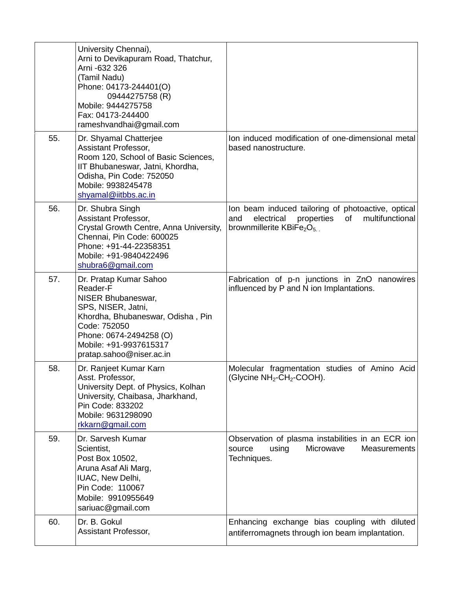|     | University Chennai),<br>Arni to Devikapuram Road, Thatchur,<br>Arni -632 326<br>(Tamil Nadu)<br>Phone: 04173-244401(O)<br>09444275758 (R)<br>Mobile: 9444275758<br>Fax: 04173-244400<br>rameshvandhai@gmail.com      |                                                                                                                                             |
|-----|----------------------------------------------------------------------------------------------------------------------------------------------------------------------------------------------------------------------|---------------------------------------------------------------------------------------------------------------------------------------------|
| 55. | Dr. Shyamal Chatterjee<br>Assistant Professor,<br>Room 120, School of Basic Sciences,<br>IIT Bhubaneswar, Jatni, Khordha,<br>Odisha, Pin Code: 752050<br>Mobile: 9938245478<br>shyamal@iitbbs.ac.in                  | Ion induced modification of one-dimensional metal<br>based nanostructure.                                                                   |
| 56. | Dr. Shubra Singh<br>Assistant Professor,<br>Crystal Growth Centre, Anna University,<br>Chennai, Pin Code: 600025<br>Phone: +91-44-22358351<br>Mobile: +91-9840422496<br>shubra6@gmail.com                            | Ion beam induced tailoring of photoactive, optical<br>electrical<br>properties<br>multifunctional<br>and<br>of<br>brownmillerite $KBiFe2O5$ |
| 57. | Dr. Pratap Kumar Sahoo<br>Reader-F<br>NISER Bhubaneswar,<br>SPS, NISER, Jatni,<br>Khordha, Bhubaneswar, Odisha, Pin<br>Code: 752050<br>Phone: 0674-2494258 (O)<br>Mobile: +91-9937615317<br>pratap.sahoo@niser.ac.in | Fabrication of p-n junctions in ZnO nanowires<br>influenced by P and N ion Implantations.                                                   |
| 58. | Dr. Ranjeet Kumar Karn<br>Asst. Professor,<br>University Dept. of Physics, Kolhan<br>University, Chaibasa, Jharkhand,<br>Pin Code: 833202<br>Mobile: 9631298090<br>rkkarn@gmail.com                                  | Molecular fragmentation studies of Amino Acid<br>(Glycine NH <sub>2</sub> -CH <sub>2</sub> -COOH).                                          |
| 59. | Dr. Sarvesh Kumar<br>Scientist,<br>Post Box 10502,<br>Aruna Asaf Ali Marg,<br>IUAC, New Delhi,<br>Pin Code: 110067<br>Mobile: 9910955649<br>sariuac@gmail.com                                                        | Observation of plasma instabilities in an ECR ion<br>using<br>Microwave<br><b>Measurements</b><br>source<br>Techniques.                     |
| 60. | Dr. B. Gokul<br>Assistant Professor,                                                                                                                                                                                 | Enhancing exchange bias coupling with diluted<br>antiferromagnets through ion beam implantation.                                            |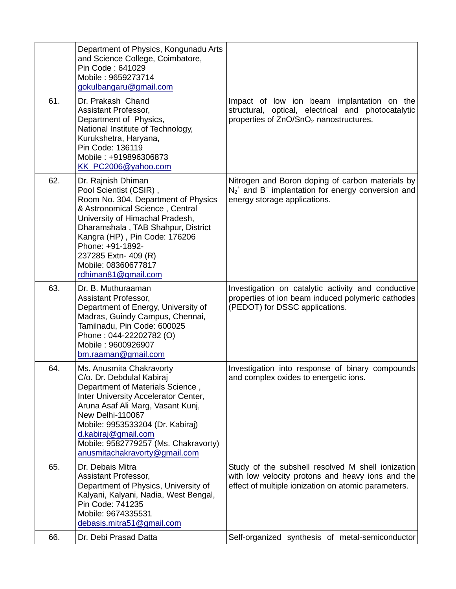|     | Department of Physics, Kongunadu Arts<br>and Science College, Coimbatore,<br>Pin Code: 641029<br>Mobile: 9659273714<br>gokulbangaru@gmail.com                                                                                                                                                                                  |                                                                                                                                                                  |
|-----|--------------------------------------------------------------------------------------------------------------------------------------------------------------------------------------------------------------------------------------------------------------------------------------------------------------------------------|------------------------------------------------------------------------------------------------------------------------------------------------------------------|
| 61. | Dr. Prakash Chand<br>Assistant Professor,<br>Department of Physics,<br>National Institute of Technology,<br>Kurukshetra, Haryana,<br>Pin Code: 136119<br>Mobile: +919896306873<br>KK_PC2006@yahoo.com                                                                                                                          | Impact of low ion beam implantation on the<br>structural, optical, electrical and photocatalytic<br>properties of ZnO/SnO <sub>2</sub> nanostructures.           |
| 62. | Dr. Rajnish Dhiman<br>Pool Scientist (CSIR),<br>Room No. 304, Department of Physics<br>& Astronomical Science, Central<br>University of Himachal Pradesh,<br>Dharamshala, TAB Shahpur, District<br>Kangra (HP), Pin Code: 176206<br>Phone: +91-1892-<br>237285 Extn- 409 (R)<br>Mobile: 08360677817<br>rdhiman81@gmail.com     | Nitrogen and Boron doping of carbon materials by<br>$N_2$ <sup>+</sup> and B <sup>+</sup> implantation for energy conversion and<br>energy storage applications. |
| 63. | Dr. B. Muthuraaman<br>Assistant Professor,<br>Department of Energy, University of<br>Madras, Guindy Campus, Chennai,<br>Tamilnadu, Pin Code: 600025<br>Phone: 044-22202782 (O)<br>Mobile: 9600926907<br>bm.raaman@gmail.com                                                                                                    | Investigation on catalytic activity and conductive<br>properties of ion beam induced polymeric cathodes<br>(PEDOT) for DSSC applications.                        |
| 64. | Ms. Anusmita Chakravorty<br>C/o. Dr. Debdulal Kabiraj<br>Department of Materials Science,<br>Inter University Accelerator Center,<br>Aruna Asaf Ali Marg, Vasant Kunj,<br>New Delhi-110067<br>Mobile: 9953533204 (Dr. Kabiraj)<br>d.kabiraj@gmail.com<br>Mobile: 9582779257 (Ms. Chakravorty)<br>anusmitachakravorty@gmail.com | Investigation into response of binary compounds<br>and complex oxides to energetic ions.                                                                         |
| 65. | Dr. Debais Mitra<br>Assistant Professor,<br>Department of Physics, University of<br>Kalyani, Kalyani, Nadia, West Bengal,<br>Pin Code: 741235<br>Mobile: 9674335531<br>debasis.mitra51@gmail.com                                                                                                                               | Study of the subshell resolved M shell ionization<br>with low velocity protons and heavy ions and the<br>effect of multiple ionization on atomic parameters.     |
| 66. | Dr. Debi Prasad Datta                                                                                                                                                                                                                                                                                                          | Self-organized synthesis of metal-semiconductor                                                                                                                  |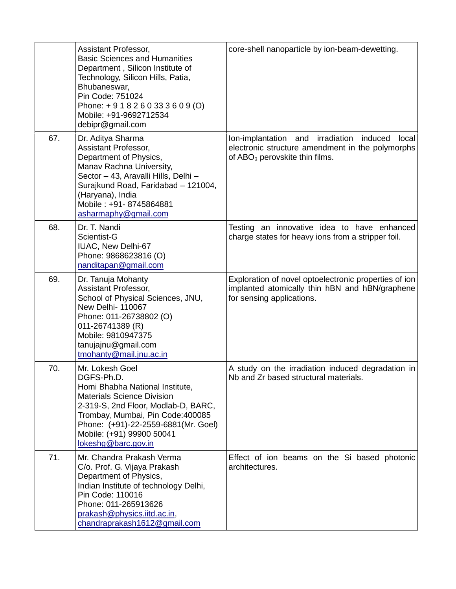|     | Assistant Professor,<br><b>Basic Sciences and Humanities</b><br>Department, Silicon Institute of<br>Technology, Silicon Hills, Patia,<br>Bhubaneswar,<br>Pin Code: 751024<br>Phone: + 9 1 8 2 6 0 33 3 6 0 9 (O)<br>Mobile: +91-9692712534<br>debipr@gmail.com               | core-shell nanoparticle by ion-beam-dewetting.                                                                                               |
|-----|------------------------------------------------------------------------------------------------------------------------------------------------------------------------------------------------------------------------------------------------------------------------------|----------------------------------------------------------------------------------------------------------------------------------------------|
| 67. | Dr. Aditya Sharma<br>Assistant Professor,<br>Department of Physics,<br>Manav Rachna University,<br>Sector - 43, Aravalli Hills, Delhi -<br>Surajkund Road, Faridabad - 121004,<br>(Haryana), India<br>Mobile: +91-8745864881<br>asharmaphy@gmail.com                         | Ion-implantation and irradiation<br>induced<br>local<br>electronic structure amendment in the polymorphs<br>of $ABO3$ perovskite thin films. |
| 68. | Dr. T. Nandi<br>Scientist-G<br>IUAC, New Delhi-67<br>Phone: 9868623816 (O)<br>nanditapan@gmail.com                                                                                                                                                                           | Testing an innovative idea to have enhanced<br>charge states for heavy ions from a stripper foil.                                            |
| 69. | Dr. Tanuja Mohanty<br>Assistant Professor,<br>School of Physical Sciences, JNU,<br><b>New Delhi- 110067</b><br>Phone: 011-26738802 (O)<br>011-26741389 (R)<br>Mobile: 9810947375<br>tanujajnu@gmail.com<br>tmohanty@mail.jnu.ac.in                                           | Exploration of novel optoelectronic properties of ion<br>implanted atomically thin hBN and hBN/graphene<br>for sensing applications.         |
| 70. | Mr. Lokesh Goel<br>DGFS-Ph.D.<br>Homi Bhabha National Institute,<br><b>Materials Science Division</b><br>2-319-S, 2nd Floor, Modlab-D, BARC,<br>Trombay, Mumbai, Pin Code: 400085<br>Phone: (+91)-22-2559-6881(Mr. Goel)<br>Mobile: (+91) 99900 50041<br>lokeshg@barc.gov.in | A study on the irradiation induced degradation in<br>Nb and Zr based structural materials.                                                   |
| 71. | Mr. Chandra Prakash Verma<br>C/o. Prof. G. Vijaya Prakash<br>Department of Physics,<br>Indian Institute of technology Delhi,<br>Pin Code: 110016<br>Phone: 011-265913626<br>prakash@physics.iitd.ac.in,<br>chandraprakash1612@gmail.com                                      | Effect of ion beams on the Si based photonic<br>architectures.                                                                               |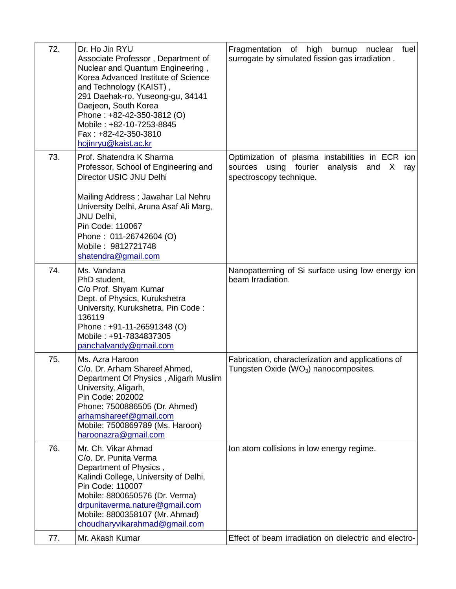| 72. | Dr. Ho Jin RYU<br>Associate Professor, Department of<br>Nuclear and Quantum Engineering,<br>Korea Advanced Institute of Science<br>and Technology (KAIST),<br>291 Daehak-ro, Yuseong-gu, 34141<br>Daejeon, South Korea<br>Phone: +82-42-350-3812 (O)<br>Mobile: +82-10-7253-8845<br>Fax: +82-42-350-3810<br>hojinryu@kaist.ac.kr | Fragmentation of high<br>burnup<br>fuel<br>nuclear<br>surrogate by simulated fission gas irradiation.                                         |
|-----|----------------------------------------------------------------------------------------------------------------------------------------------------------------------------------------------------------------------------------------------------------------------------------------------------------------------------------|-----------------------------------------------------------------------------------------------------------------------------------------------|
| 73. | Prof. Shatendra K Sharma<br>Professor, School of Engineering and<br>Director USIC JNU Delhi                                                                                                                                                                                                                                      | Optimization of plasma instabilities in ECR<br>ion l<br>using<br>fourier<br>analysis<br>sources<br>and<br>X<br>ray<br>spectroscopy technique. |
|     | Mailing Address: Jawahar Lal Nehru<br>University Delhi, Aruna Asaf Ali Marg,<br>JNU Delhi,<br>Pin Code: 110067<br>Phone: 011-26742604 (O)<br>Mobile: 9812721748<br>shatendra@gmail.com                                                                                                                                           |                                                                                                                                               |
| 74. | Ms. Vandana<br>PhD student,<br>C/o Prof. Shyam Kumar<br>Dept. of Physics, Kurukshetra<br>University, Kurukshetra, Pin Code:<br>136119<br>Phone: +91-11-26591348 (O)<br>Mobile: +91-7834837305<br>panchalvandy@gmail.com                                                                                                          | Nanopatterning of Si surface using low energy ion<br>beam Irradiation.                                                                        |
| 75. | Ms. Azra Haroon<br>C/o. Dr. Arham Shareef Ahmed,<br>Department Of Physics, Aligarh Muslim<br>University, Aligarh,<br>Pin Code: 202002<br>Phone: 7500886505 (Dr. Ahmed)<br>arhamshareef@gmail.com<br>Mobile: 7500869789 (Ms. Haroon)<br>haroonazra@gmail.com                                                                      | Fabrication, characterization and applications of<br>Tungsten Oxide ( $WO3$ ) nanocomposites.                                                 |
| 76. | Mr. Ch. Vikar Ahmad<br>C/o. Dr. Punita Verma<br>Department of Physics,<br>Kalindi College, University of Delhi,<br>Pin Code: 110007<br>Mobile: 8800650576 (Dr. Verma)<br>drpunitaverma.nature@gmail.com<br>Mobile: 8800358107 (Mr. Ahmad)<br>choudharyvikarahmad@gmail.com                                                       | Ion atom collisions in low energy regime.                                                                                                     |
| 77. | Mr. Akash Kumar                                                                                                                                                                                                                                                                                                                  | Effect of beam irradiation on dielectric and electro-                                                                                         |